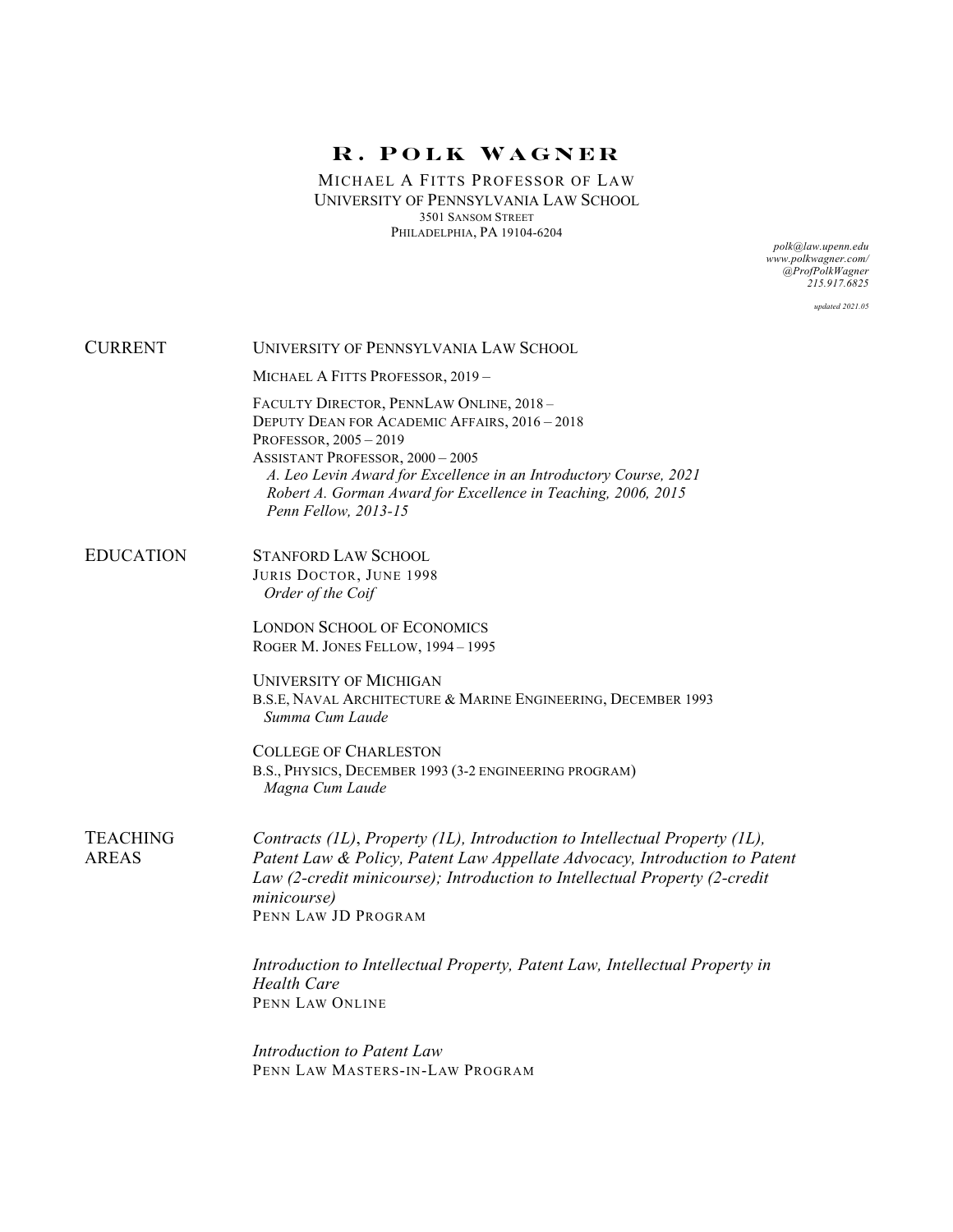MICHAEL A FITTS PROFESSOR OF LAW UNIVERSITY OF PENNSYLVANIA LAW SCHOOL 3501 SANSOM STREET PHILADELPHIA, PA 19104-6204

*polk@law.upenn.edu www.polkwagner.com/ @ProfPolkWagner 215.917.6825*

*updated 2021.05*

| <b>CURRENT</b>                  | UNIVERSITY OF PENNSYLVANIA LAW SCHOOL                                                                                                                                                                                                                                                                                     |
|---------------------------------|---------------------------------------------------------------------------------------------------------------------------------------------------------------------------------------------------------------------------------------------------------------------------------------------------------------------------|
|                                 | MICHAEL A FITTS PROFESSOR, 2019-                                                                                                                                                                                                                                                                                          |
|                                 | FACULTY DIRECTOR, PENNLAW ONLINE, 2018-<br>DEPUTY DEAN FOR ACADEMIC AFFAIRS, 2016 - 2018<br>PROFESSOR, 2005-2019<br><b>ASSISTANT PROFESSOR, 2000 - 2005</b><br>A. Leo Levin Award for Excellence in an Introductory Course, 2021<br>Robert A. Gorman Award for Excellence in Teaching, 2006, 2015<br>Penn Fellow, 2013-15 |
| <b>EDUCATION</b>                | <b>STANFORD LAW SCHOOL</b><br>JURIS DOCTOR, JUNE 1998<br>Order of the Coif                                                                                                                                                                                                                                                |
|                                 | <b>LONDON SCHOOL OF ECONOMICS</b><br>ROGER M. JONES FELLOW, 1994 - 1995                                                                                                                                                                                                                                                   |
|                                 | <b>UNIVERSITY OF MICHIGAN</b><br>B.S.E, NAVAL ARCHITECTURE & MARINE ENGINEERING, DECEMBER 1993<br>Summa Cum Laude                                                                                                                                                                                                         |
|                                 | <b>COLLEGE OF CHARLESTON</b><br>B.S., PHYSICS, DECEMBER 1993 (3-2 ENGINEERING PROGRAM)<br>Magna Cum Laude                                                                                                                                                                                                                 |
| <b>TEACHING</b><br><b>AREAS</b> | Contracts (IL), Property (IL), Introduction to Intellectual Property (IL),<br>Patent Law & Policy, Patent Law Appellate Advocacy, Introduction to Patent<br>Law (2-credit minicourse); Introduction to Intellectual Property (2-credit<br>minicourse)<br>PENN LAW JD PROGRAM                                              |
|                                 | Introduction to Intellectual Property, Patent Law, Intellectual Property in<br><b>Health Care</b><br>PENN LAW ONLINE                                                                                                                                                                                                      |
|                                 | Introduction to Patent Law<br>PENN LAW MASTERS-IN-LAW PROGRAM                                                                                                                                                                                                                                                             |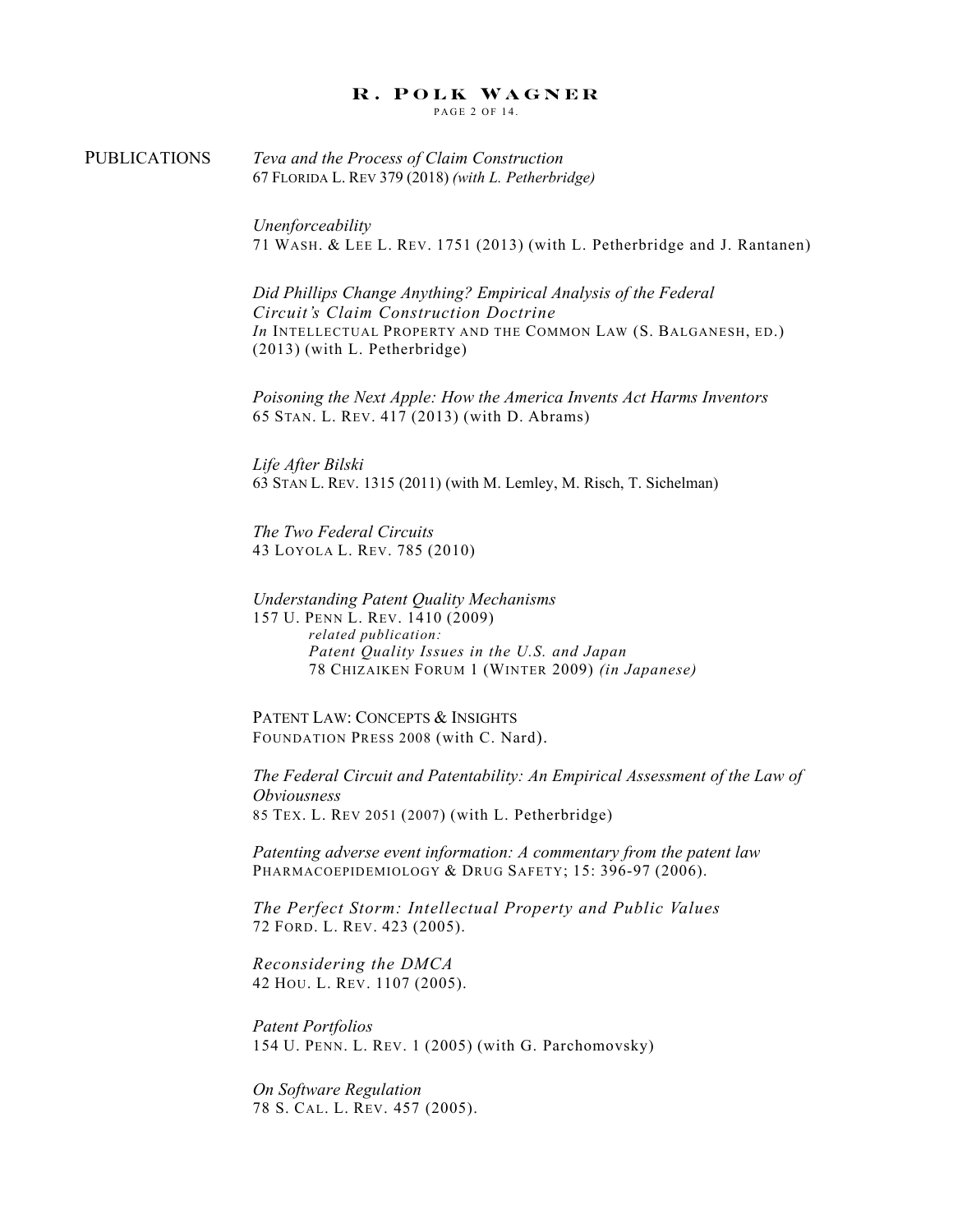PAGE 2 OF 14.

PUBLICATIONS *Teva and the Process of Claim Construction* 67 FLORIDA L. REV 379 (2018) *(with L. Petherbridge)*

> *Unenforceability* 71 WASH. & LEE L. REV. 1751 (2013) (with L. Petherbridge and J. Rantanen)

*Did Phillips Change Anything? Empirical Analysis of the Federal Circuit's Claim Construction Doctrine In* INTELLECTUAL PROPERTY AND THE COMMON LAW (S. BALGANESH, ED.) (2013) (with L. Petherbridge)

*Poisoning the Next Apple: How the America Invents Act Harms Inventors* 65 STAN. L. REV. 417 (2013) (with D. Abrams)

*Life After Bilski* 63 STAN L. REV. 1315 (2011) (with M. Lemley, M. Risch, T. Sichelman)

*The Two Federal Circuits* 43 LOYOLA L. REV. 785 (2010)

*Understanding Patent Quality Mechanisms* 157 U. PENN L. REV. 1410 (2009) *related publication: Patent Quality Issues in the U.S. and Japan* 78 CHIZAIKEN FORUM 1 (WINTER 2009) *(in Japanese)*

PATENT LAW: CONCEPTS & INSIGHTS FOUNDATION PRESS 2008 (with C. Nard).

*The Federal Circuit and Patentability: An Empirical Assessment of the Law of Obviousness* 85 TEX. L. REV 2051 (2007) (with L. Petherbridge)

*Patenting adverse event information: A commentary from the patent law* PHARMACOEPIDEMIOLOGY & DRUG SAFETY; 15: 396-97 (2006).

*The Perfect Storm: Intellectual Property and Public Values*  72 FORD. L. REV. 423 (2005).

*Reconsidering the DMCA* 42 HOU. L. REV. 1107 (2005).

*Patent Portfolios* 154 U. PENN. L. REV. 1 (2005) (with G. Parchomovsky)

*On Software Regulation* 78 S. CAL. L. REV. 457 (2005).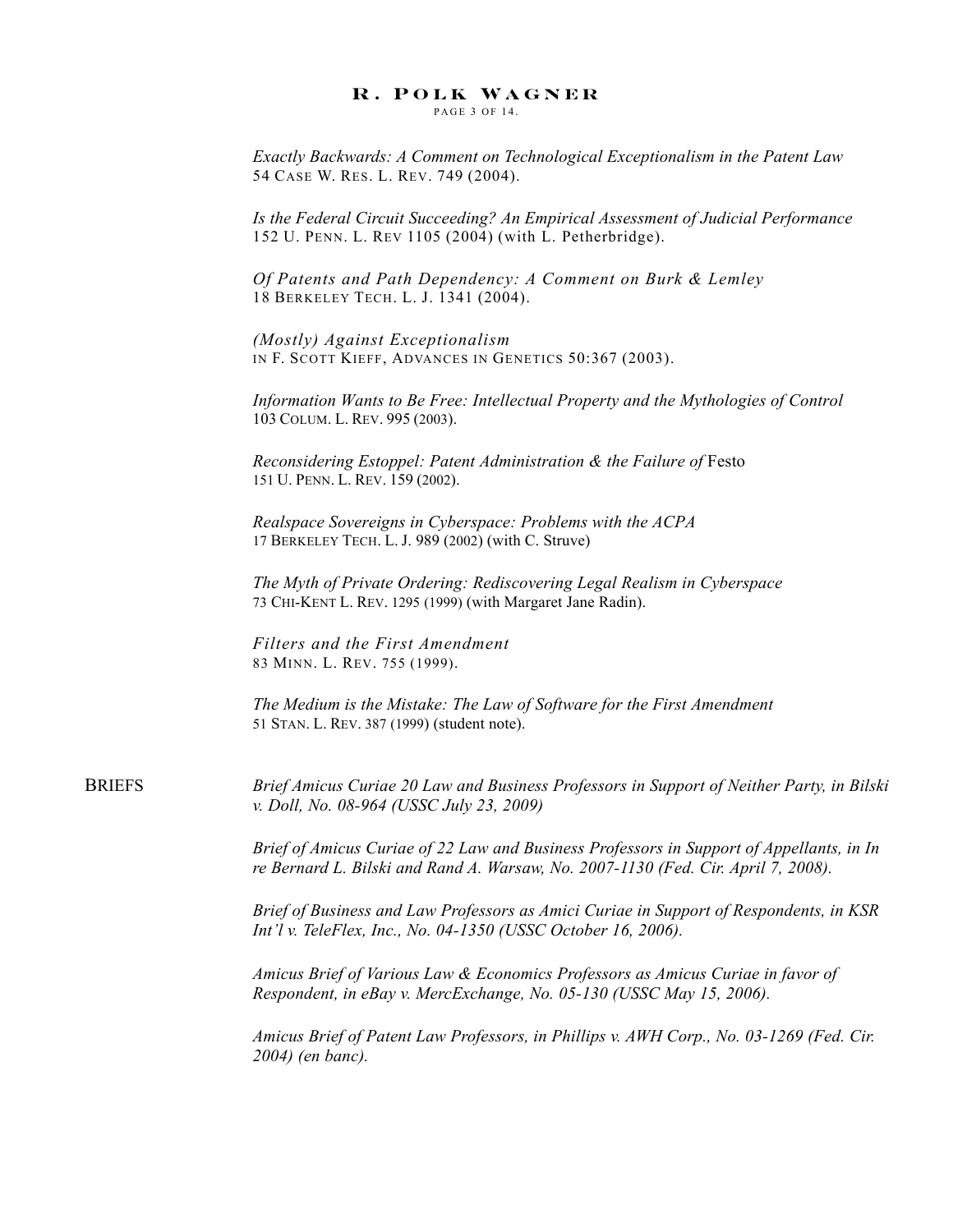PAGE 3 OF 14

*Exactly Backwards: A Comment on Technological Exceptionalism in the Patent Law* 54 CASE W. RES. L. REV. 749 (2004).

*Is the Federal Circuit Succeeding? An Empirical Assessment of Judicial Performance* 152 U. PENN. L. REV 1105 (2004) (with L. Petherbridge).

*Of Patents and Path Dependency: A Comment on Burk & Lemley* 18 BERKELEY TECH. L. J. 1341 (2004).

*(Mostly) Against Exceptionalism* IN F. SCOTT KIEFF, ADVANCES IN GENETICS 50:367 (2003).

*Information Wants to Be Free: Intellectual Property and the Mythologies of Control* 103 COLUM. L. REV. 995 (2003).

*Reconsidering Estoppel: Patent Administration & the Failure of Festo* 151 U. PENN. L. REV. 159 (2002).

*Realspace Sovereigns in Cyberspace: Problems with the ACPA* 17 BERKELEY TECH. L. J. 989 (2002) (with C. Struve)

*The Myth of Private Ordering: Rediscovering Legal Realism in Cyberspace*  73 CHI-KENT L. REV. 1295 (1999) (with Margaret Jane Radin).

*Filters and the First Amendment* 83 MINN. L. REV. 755 (1999).

*The Medium is the Mistake: The Law of Software for the First Amendment*  51 STAN. L. REV. 387 (1999) (student note).

BRIEFS *Brief Amicus Curiae 20 Law and Business Professors in Support of Neither Party, in Bilski v. Doll, No. 08-964 (USSC July 23, 2009)*

> *Brief of Amicus Curiae of 22 Law and Business Professors in Support of Appellants, in In re Bernard L. Bilski and Rand A. Warsaw, No. 2007-1130 (Fed. Cir. April 7, 2008).*

> *Brief of Business and Law Professors as Amici Curiae in Support of Respondents, in KSR Int'l v. TeleFlex, Inc., No. 04-1350 (USSC October 16, 2006).*

*Amicus Brief of Various Law & Economics Professors as Amicus Curiae in favor of Respondent, in eBay v. MercExchange, No. 05-130 (USSC May 15, 2006).*

*Amicus Brief of Patent Law Professors, in Phillips v. AWH Corp., No. 03-1269 (Fed. Cir. 2004) (en banc).*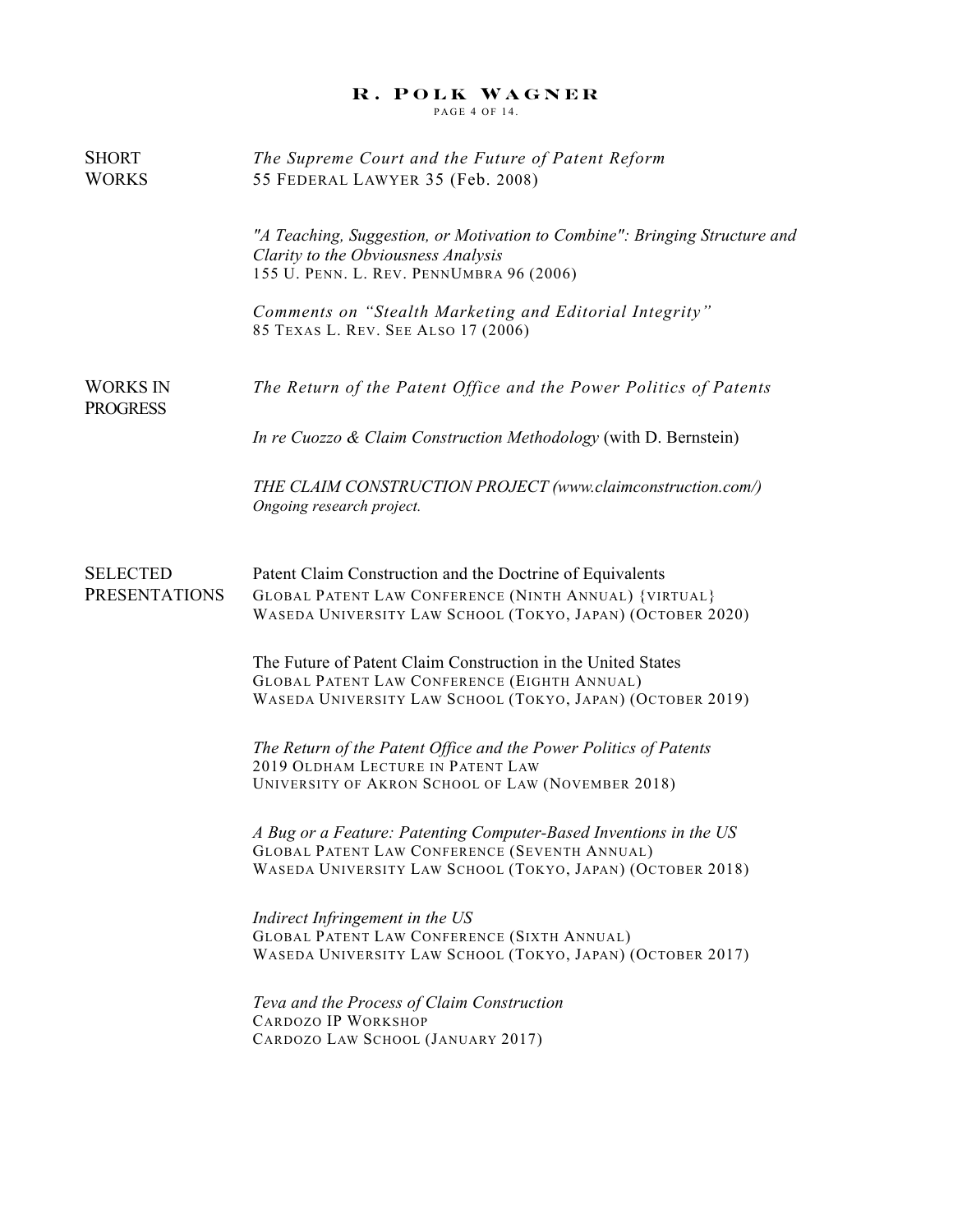PAGE 4 OF 14.

| SHORT<br><b>WORKS</b>              | The Supreme Court and the Future of Patent Reform<br>55 FEDERAL LAWYER 35 (Feb. 2008)                                                                                                   |
|------------------------------------|-----------------------------------------------------------------------------------------------------------------------------------------------------------------------------------------|
|                                    | "A Teaching, Suggestion, or Motivation to Combine": Bringing Structure and<br>Clarity to the Obviousness Analysis<br>155 U. PENN. L. REV. PENNUMBRA 96 (2006)                           |
|                                    | Comments on "Stealth Marketing and Editorial Integrity"<br>85 TEXAS L. REV. SEE ALSO 17 (2006)                                                                                          |
| <b>WORKS IN</b><br><b>PROGRESS</b> | The Return of the Patent Office and the Power Politics of Patents                                                                                                                       |
|                                    | In re Cuozzo & Claim Construction Methodology (with D. Bernstein)                                                                                                                       |
|                                    | THE CLAIM CONSTRUCTION PROJECT (www.claimconstruction.com/)<br>Ongoing research project.                                                                                                |
| <b>SELECTED</b>                    | Patent Claim Construction and the Doctrine of Equivalents                                                                                                                               |
| <b>PRESENTATIONS</b>               | <b>GLOBAL PATENT LAW CONFERENCE (NINTH ANNUAL) {VIRTUAL}</b><br>WASEDA UNIVERSITY LAW SCHOOL (TOKYO, JAPAN) (OCTOBER 2020)                                                              |
|                                    | The Future of Patent Claim Construction in the United States<br><b>GLOBAL PATENT LAW CONFERENCE (EIGHTH ANNUAL)</b><br>WASEDA UNIVERSITY LAW SCHOOL (TOKYO, JAPAN) (OCTOBER 2019)       |
|                                    | The Return of the Patent Office and the Power Politics of Patents<br>2019 OLDHAM LECTURE IN PATENT LAW<br>UNIVERSITY OF AKRON SCHOOL OF LAW (NOVEMBER 2018)                             |
|                                    | A Bug or a Feature: Patenting Computer-Based Inventions in the US<br><b>GLOBAL PATENT LAW CONFERENCE (SEVENTH ANNUAL)</b><br>WASEDA UNIVERSITY LAW SCHOOL (TOKYO, JAPAN) (OCTOBER 2018) |
|                                    | Indirect Infringement in the US<br><b>GLOBAL PATENT LAW CONFERENCE (SIXTH ANNUAL)</b><br>WASEDA UNIVERSITY LAW SCHOOL (TOKYO, JAPAN) (OCTOBER 2017)                                     |
|                                    | Teva and the Process of Claim Construction<br>CARDOZO IP WORKSHOP<br>CARDOZO LAW SCHOOL (JANUARY 2017)                                                                                  |
|                                    |                                                                                                                                                                                         |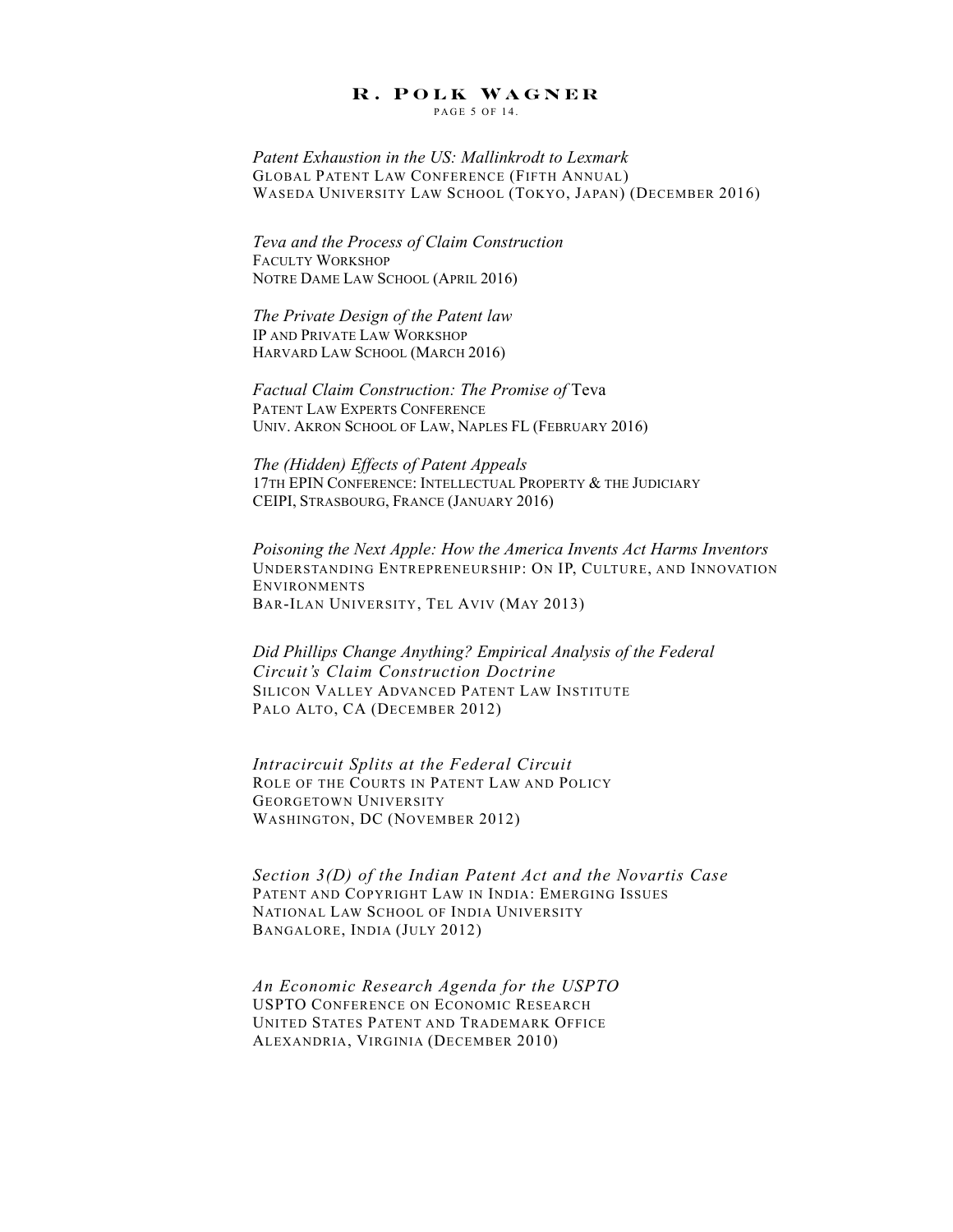PAGE 5 OF 14.

*Patent Exhaustion in the US: Mallinkrodt to Lexmark* GLOBAL PATENT LAW CONFERENCE (FIFTH ANNUAL) WASEDA UNIVERSITY LAW SCHOOL (TOKYO, JAPAN) (DECEMBER 2016)

*Teva and the Process of Claim Construction* FACULTY WORKSHOP NOTRE DAME LAW SCHOOL (APRIL 2016)

*The Private Design of the Patent law* IP AND PRIVATE LAW WORKSHOP HARVARD LAW SCHOOL (MARCH 2016)

*Factual Claim Construction: The Promise of* Teva PATENT LAW EXPERTS CONFERENCE UNIV. AKRON SCHOOL OF LAW, NAPLES FL (FEBRUARY 2016)

*The (Hidden) Effects of Patent Appeals* 17TH EPIN CONFERENCE: INTELLECTUAL PROPERTY & THE JUDICIARY CEIPI, STRASBOURG, FRANCE (JANUARY 2016)

*Poisoning the Next Apple: How the America Invents Act Harms Inventors* UNDERSTANDING ENTREPRENEURSHIP: ON IP, CULTURE, AND INNOVATION ENVIRONMENTS BAR-ILAN UNIVERSITY, TEL AVIV (MAY 2013)

*Did Phillips Change Anything? Empirical Analysis of the Federal Circuit's Claim Construction Doctrine* SILICON VALLEY ADVANCED PATENT LAW INSTITUTE PALO ALTO, CA (DECEMBER 2012)

*Intracircuit Splits at the Federal Circuit* ROLE OF THE COURTS IN PATENT LAW AND POLICY GEORGETOWN UNIVERSITY WASHINGTON, DC (NOVEMBER 2012)

*Section 3(D) of the Indian Patent Act and the Novartis Case* PATENT AND COPYRIGHT LAW IN INDIA: EMERGING ISSUES NATIONAL LAW SCHOOL OF INDIA UNIVERSITY BANGALORE, INDIA (JULY 2012)

*An Economic Research Agenda for the USPTO* USPTO CONFERENCE ON ECONOMIC RESEARCH UNITED STATES PATENT AND TRADEMARK OFFICE ALEXANDRIA, VIRGINIA (DECEMBER 2010)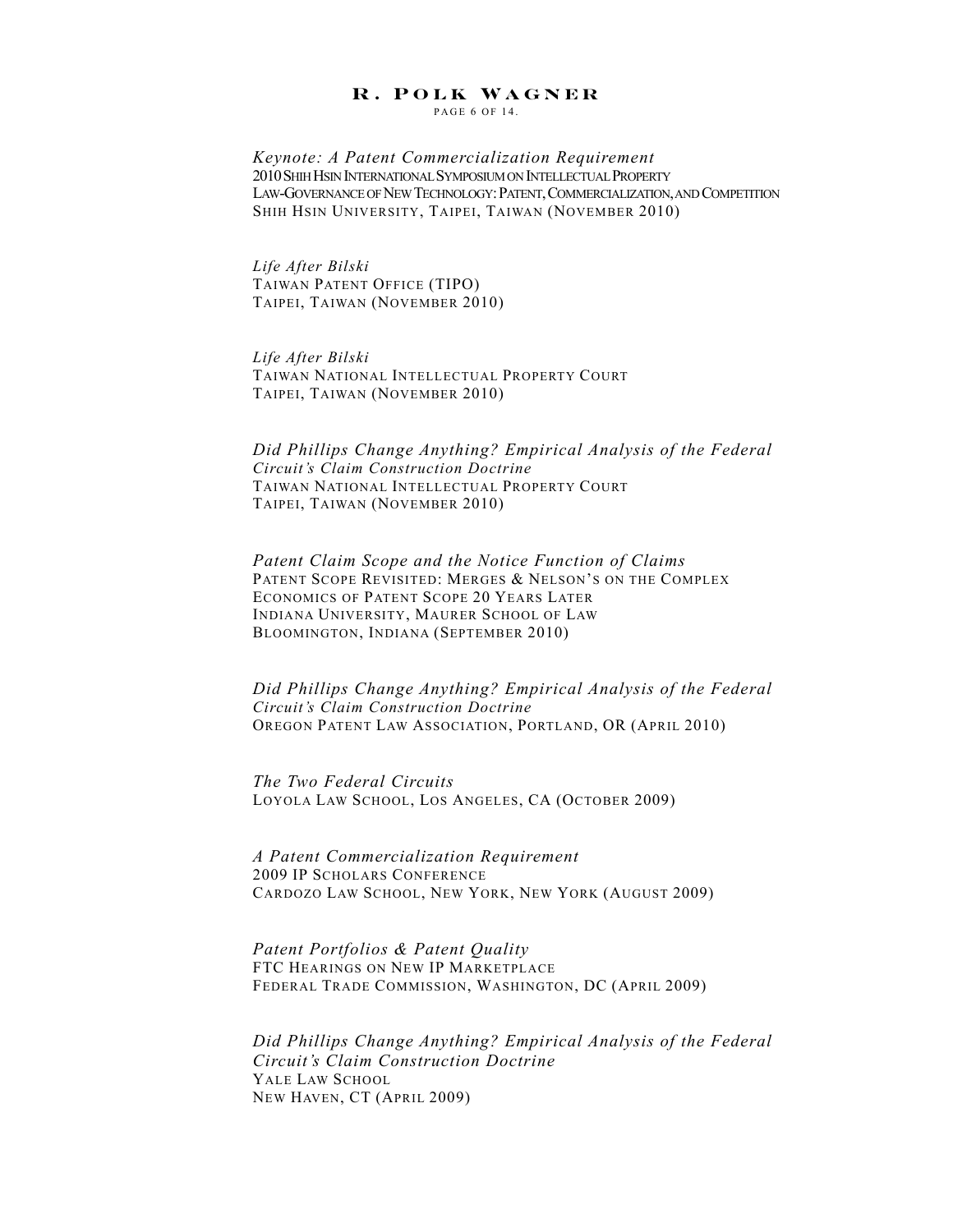PAGE 6 OF 14.

*Keynote: A Patent Commercialization Requirement* 2010SHIH HSIN INTERNATIONAL SYMPOSIUM ON INTELLECTUAL PROPERTY LAW-GOVERNANCE OF NEW TECHNOLOGY:PATENT,COMMERCIALIZATION,AND COMPETITION SHIH HSIN UNIVERSITY, TAIPEI, TAIWAN (NOVEMBER 2010)

*Life After Bilski* TAIWAN PATENT OFFICE (TIPO) TAIPEI, TAIWAN (NOVEMBER 2010)

*Life After Bilski* TAIWAN NATIONAL INTELLECTUAL PROPERTY COURT TAIPEI, TAIWAN (NOVEMBER 2010)

*Did Phillips Change Anything? Empirical Analysis of the Federal Circuit's Claim Construction Doctrine* TAIWAN NATIONAL INTELLECTUAL PROPERTY COURT TAIPEI, TAIWAN (NOVEMBER 2010)

*Patent Claim Scope and the Notice Function of Claims* PATENT SCOPE REVISITED: MERGES & NELSON'S ON THE COMPLEX ECONOMICS OF PATENT SCOPE 20 YEARS LATER INDIANA UNIVERSITY, MAURER SCHOOL OF LAW BLOOMINGTON, INDIANA (SEPTEMBER 2010)

*Did Phillips Change Anything? Empirical Analysis of the Federal Circuit's Claim Construction Doctrine* OREGON PATENT LAW ASSOCIATION, PORTLAND, OR (APRIL 2010)

*The Two Federal Circuits* LOYOLA LAW SCHOOL, LOS ANGELES, CA (OCTOBER 2009)

*A Patent Commercialization Requirement* 2009 IP SCHOLARS CONFERENCE CARDOZO LAW SCHOOL, NEW YORK, NEW YORK (AUGUST 2009)

*Patent Portfolios & Patent Quality* FTC HEARINGS ON NEW IP MARKETPLACE FEDERAL TRADE COMMISSION, WASHINGTON, DC (APRIL 2009)

*Did Phillips Change Anything? Empirical Analysis of the Federal Circuit's Claim Construction Doctrine* YALE LAW SCHOOL NEW HAVEN, CT (APRIL 2009)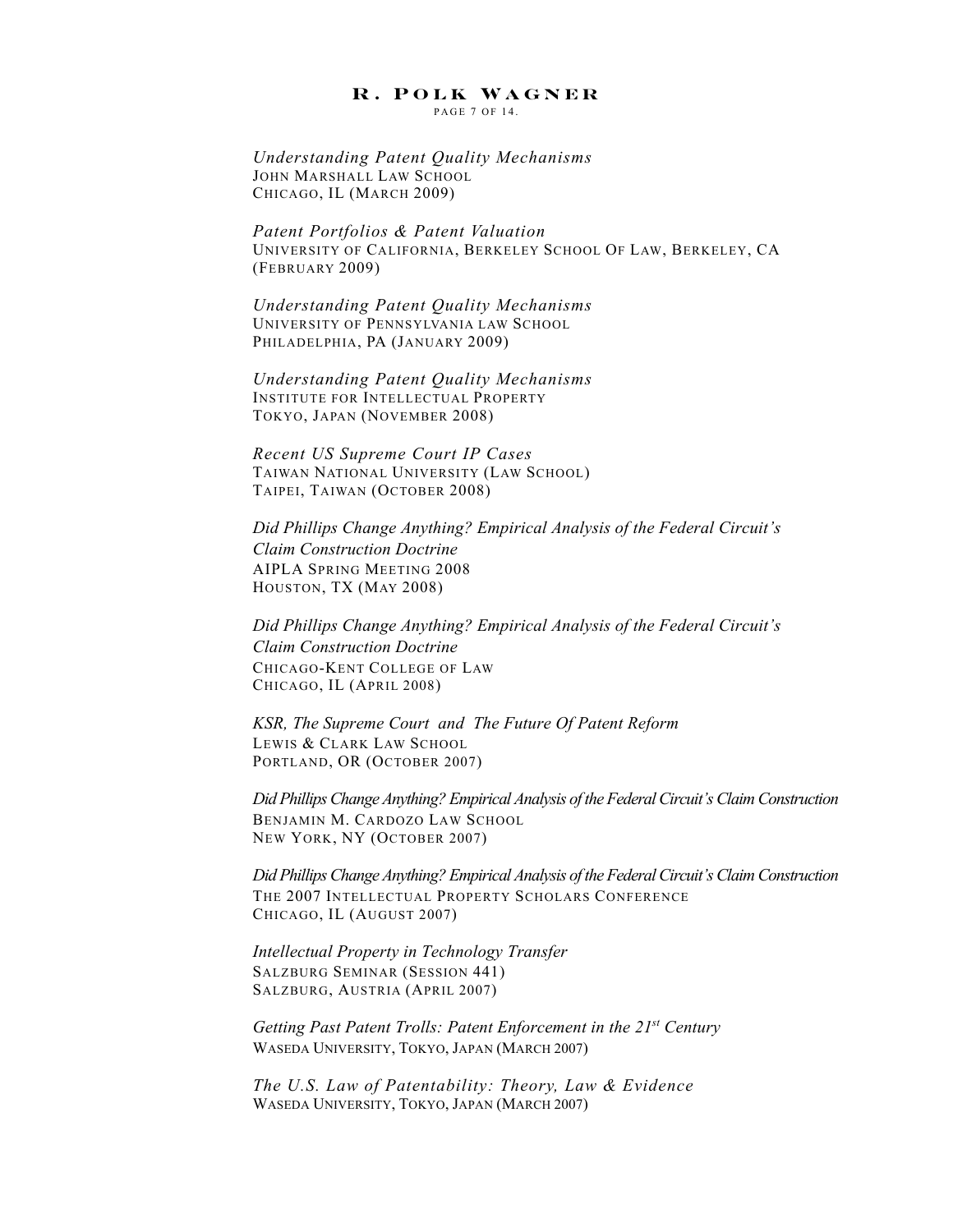PAGE 7 OF 14.

*Understanding Patent Quality Mechanisms* JOHN MARSHALL LAW SCHOOL CHICAGO, IL (MARCH 2009)

*Patent Portfolios & Patent Valuation* UNIVERSITY OF CALIFORNIA, BERKELEY SCHOOL OF LAW, BERKELEY, CA (FEBRUARY 2009)

*Understanding Patent Quality Mechanisms* UNIVERSITY OF PENNSYLVANIA LAW SCHOOL PHILADELPHIA, PA (JANUARY 2009)

*Understanding Patent Quality Mechanisms* INSTITUTE FOR INTELLECTUAL PROPERTY TOKYO, JAPAN (NOVEMBER 2008)

*Recent US Supreme Court IP Cases* TAIWAN NATIONAL UNIVERSITY (LAW SCHOOL) TAIPEI, TAIWAN (OCTOBER 2008)

*Did Phillips Change Anything? Empirical Analysis of the Federal Circuit's Claim Construction Doctrine* AIPLA SPRING MEETING 2008 HOUSTON, TX (MAY 2008)

*Did Phillips Change Anything? Empirical Analysis of the Federal Circuit's Claim Construction Doctrine* CHICAGO-KENT COLLEGE OF LAW CHICAGO, IL (APRIL 2008)

*KSR, The Supreme Court and The Future Of Patent Reform*  LEWIS & CLARK LAW SCHOOL PORTLAND, OR (OCTOBER 2007)

*Did Phillips Change Anything? Empirical Analysis of the Federal Circuit's Claim Construction* BENJAMIN M. CARDOZO LAW SCHOOL NEW YORK, NY (OCTOBER 2007)

*Did Phillips Change Anything? Empirical Analysis of the Federal Circuit's Claim Construction* THE 2007 INTELLECTUAL PROPERTY SCHOLARS CONFERENCE CHICAGO, IL (AUGUST 2007)

*Intellectual Property in Technology Transfer* SALZBURG SEMINAR (SESSION 441) SALZBURG, AUSTRIA (APRIL 2007)

*Getting Past Patent Trolls: Patent Enforcement in the 21st Century* WASEDA UNIVERSITY, TOKYO, JAPAN (MARCH 2007)

*The U.S. Law of Patentability: Theory, Law & Evidence* WASEDA UNIVERSITY, TOKYO, JAPAN (MARCH 2007)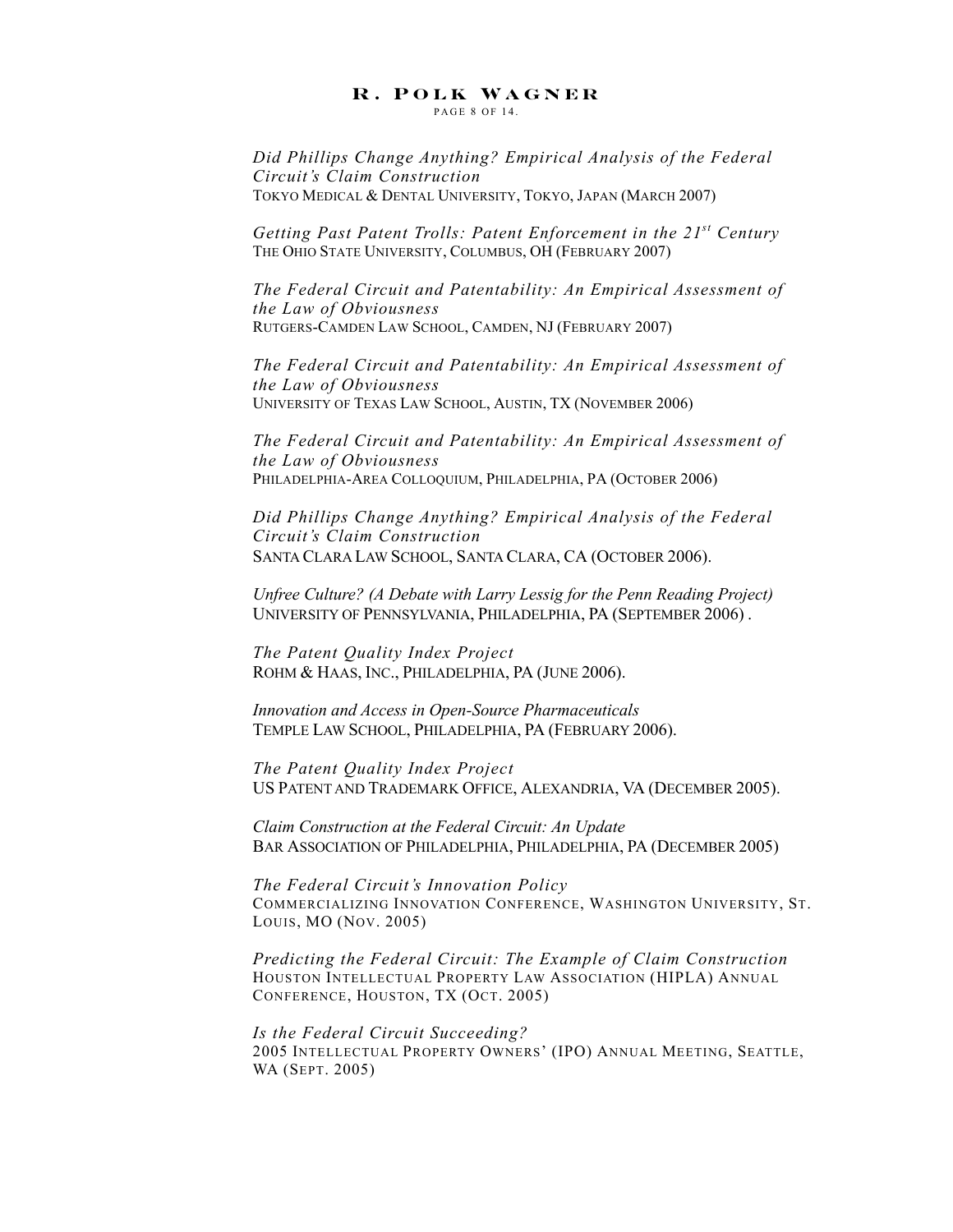PAGE 8 OF 14

*Did Phillips Change Anything? Empirical Analysis of the Federal Circuit's Claim Construction* TOKYO MEDICAL & DENTAL UNIVERSITY, TOKYO, JAPAN (MARCH 2007)

*Getting Past Patent Trolls: Patent Enforcement in the 21st Century* THE OHIO STATE UNIVERSITY, COLUMBUS, OH (FEBRUARY 2007)

*The Federal Circuit and Patentability: An Empirical Assessment of the Law of Obviousness* RUTGERS-CAMDEN LAW SCHOOL, CAMDEN, NJ (FEBRUARY 2007)

*The Federal Circuit and Patentability: An Empirical Assessment of the Law of Obviousness* UNIVERSITY OF TEXAS LAW SCHOOL, AUSTIN, TX (NOVEMBER 2006)

*The Federal Circuit and Patentability: An Empirical Assessment of the Law of Obviousness* PHILADELPHIA-AREA COLLOQUIUM, PHILADELPHIA, PA (OCTOBER 2006)

*Did Phillips Change Anything? Empirical Analysis of the Federal Circuit's Claim Construction* SANTA CLARA LAW SCHOOL, SANTA CLARA, CA (OCTOBER 2006).

*Unfree Culture? (A Debate with Larry Lessig for the Penn Reading Project)* UNIVERSITY OF PENNSYLVANIA, PHILADELPHIA, PA (SEPTEMBER 2006) .

*The Patent Quality Index Project* ROHM & HAAS, INC., PHILADELPHIA, PA (JUNE 2006).

*Innovation and Access in Open-Source Pharmaceuticals* TEMPLE LAW SCHOOL, PHILADELPHIA, PA (FEBRUARY 2006).

*The Patent Quality Index Project* US PATENT AND TRADEMARK OFFICE, ALEXANDRIA, VA (DECEMBER 2005).

*Claim Construction at the Federal Circuit: An Update* BAR ASSOCIATION OF PHILADELPHIA, PHILADELPHIA, PA (DECEMBER 2005)

*The Federal Circuit's Innovation Policy* COMMERCIALIZING INNOVATION CONFERENCE, WASHINGTON UNIVERSITY, ST. LOUIS, MO (NOV. 2005)

*Predicting the Federal Circuit: The Example of Claim Construction* HOUSTON INTELLECTUAL PROPERTY LAW ASSOCIATION (HIPLA) ANNUAL CONFERENCE, HOUSTON, TX (OCT. 2005)

*Is the Federal Circuit Succeeding?* 2005 INTELLECTUAL PROPERTY OWNERS' (IPO) ANNUAL MEETING, SEATTLE, WA (SEPT. 2005)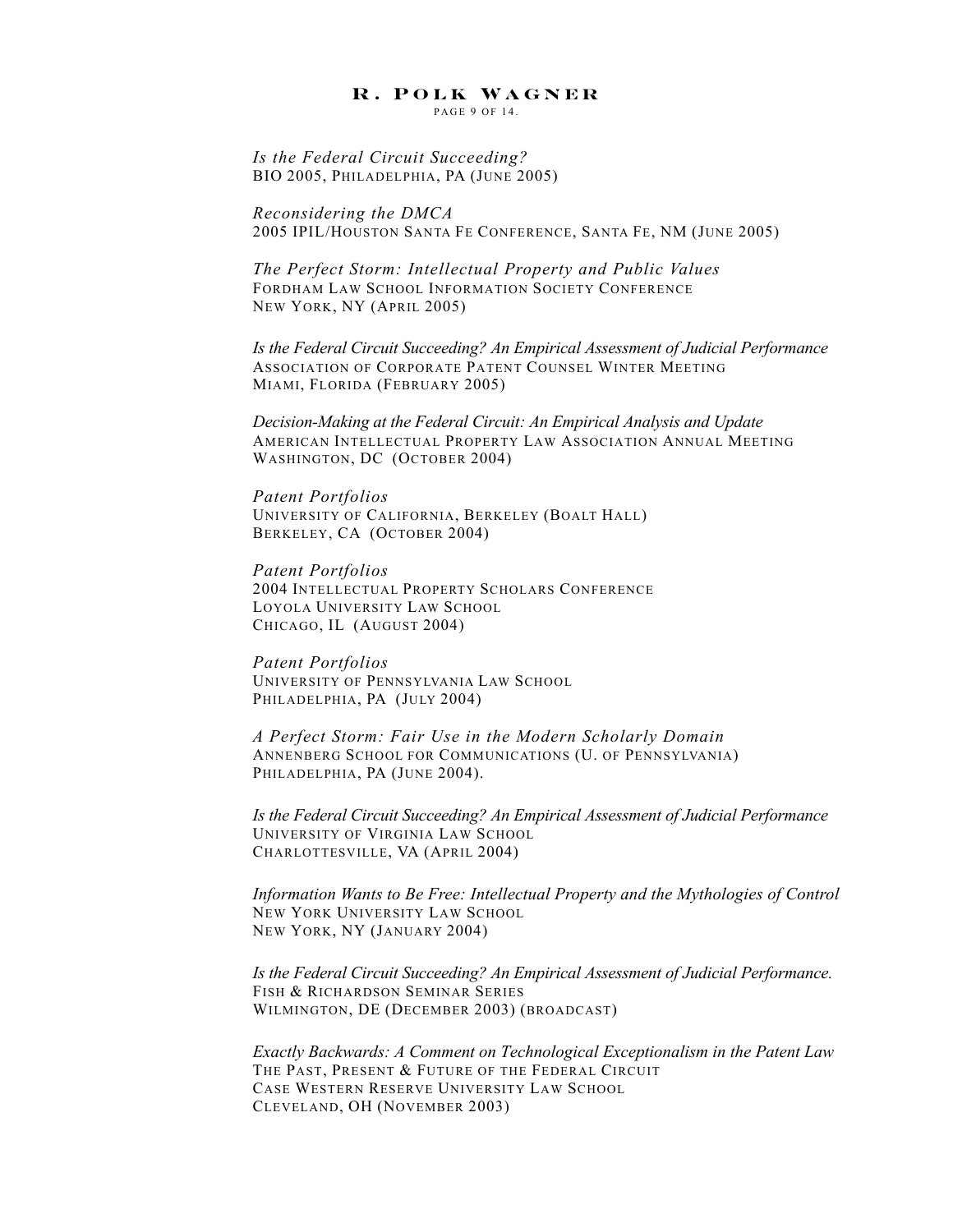PAGE 9 OF 14.

*Is the Federal Circuit Succeeding?* BIO 2005, PHILADELPHIA, PA (JUNE 2005)

*Reconsidering the DMCA* 2005 IPIL/HOUSTON SANTA FE CONFERENCE, SANTA FE, NM (JUNE 2005)

*The Perfect Storm: Intellectual Property and Public Values* FORDHAM LAW SCHOOL INFORMATION SOCIETY CONFERENCE NEW YORK, NY (APRIL 2005)

*Is the Federal Circuit Succeeding? An Empirical Assessment of Judicial Performance* ASSOCIATION OF CORPORATE PATENT COUNSEL WINTER MEETING MIAMI, FLORIDA (FEBRUARY 2005)

*Decision-Making at the Federal Circuit: An Empirical Analysis and Update* AMERICAN INTELLECTUAL PROPERTY LAW ASSOCIATION ANNUAL MEETING WASHINGTON, DC (OCTOBER 2004)

*Patent Portfolios* UNIVERSITY OF CALIFORNIA, BERKELEY (BOALT HALL) BERKELEY, CA (OCTOBER 2004)

*Patent Portfolios* 2004 INTELLECTUAL PROPERTY SCHOLARS CONFERENCE LOYOLA UNIVERSITY LAW SCHOOL CHICAGO, IL (AUGUST 2004)

*Patent Portfolios* UNIVERSITY OF PENNSYLVANIA LAW SCHOOL PHILADELPHIA, PA (JULY 2004)

*A Perfect Storm: Fair Use in the Modern Scholarly Domain* ANNENBERG SCHOOL FOR COMMUNICATIONS (U. OF PENNSYLVANIA) PHILADELPHIA, PA (JUNE 2004).

*Is the Federal Circuit Succeeding? An Empirical Assessment of Judicial Performance* UNIVERSITY OF VIRGINIA LAW SCHOOL CHARLOTTESVILLE, VA (APRIL 2004)

*Information Wants to Be Free: Intellectual Property and the Mythologies of Control* NEW YORK UNIVERSITY LAW SCHOOL NEW YORK, NY (JANUARY 2004)

*Is the Federal Circuit Succeeding? An Empirical Assessment of Judicial Performance.* FISH & RICHARDSON SEMINAR SERIES WILMINGTON, DE (DECEMBER 2003) (BROADCAST)

*Exactly Backwards: A Comment on Technological Exceptionalism in the Patent Law* THE PAST, PRESENT & FUTURE OF THE FEDERAL CIRCUIT CASE WESTERN RESERVE UNIVERSITY LAW SCHOOL CLEVELAND, OH (NOVEMBER 2003)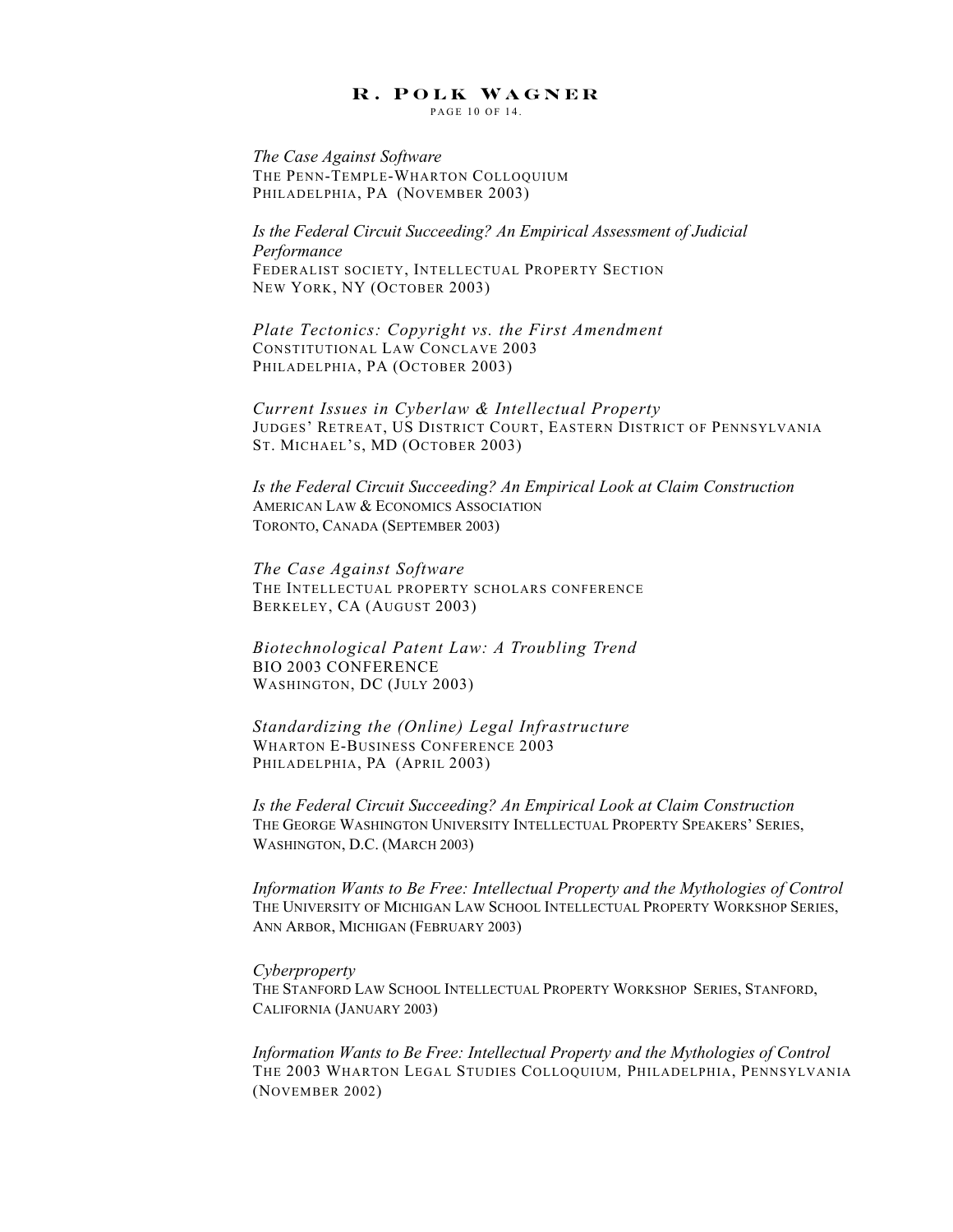PAGE 10 OF 14

*The Case Against Software* THE PENN-TEMPLE-WHARTON COLLOQUIUM PHILADELPHIA, PA (NOVEMBER 2003)

*Is the Federal Circuit Succeeding? An Empirical Assessment of Judicial Performance* FEDERALIST SOCIETY, INTELLECTUAL PROPERTY SECTION NEW YORK, NY (OCTOBER 2003)

*Plate Tectonics: Copyright vs. the First Amendment* CONSTITUTIONAL LAW CONCLAVE 2003 PHILADELPHIA, PA (OCTOBER 2003)

*Current Issues in Cyberlaw & Intellectual Property* JUDGES' RETREAT, US DISTRICT COURT, EASTERN DISTRICT OF PENNSYLVANIA ST. MICHAEL'S, MD (OCTOBER 2003)

*Is the Federal Circuit Succeeding? An Empirical Look at Claim Construction* AMERICAN LAW & ECONOMICS ASSOCIATION TORONTO, CANADA (SEPTEMBER 2003)

*The Case Against Software* THE INTELLECTUAL PROPERTY SCHOLARS CONFERENCE BERKELEY, CA (AUGUST 2003)

*Biotechnological Patent Law: A Troubling Trend* BIO 2003 CONFERENCE WASHINGTON, DC (JULY 2003)

*Standardizing the (Online) Legal Infrastructure* WHARTON E-BUSINESS CONFERENCE 2003 PHILADELPHIA, PA (APRIL 2003)

*Is the Federal Circuit Succeeding? An Empirical Look at Claim Construction* THE GEORGE WASHINGTON UNIVERSITY INTELLECTUAL PROPERTY SPEAKERS' SERIES, WASHINGTON, D.C. (MARCH 2003)

*Information Wants to Be Free: Intellectual Property and the Mythologies of Control* THE UNIVERSITY OF MICHIGAN LAW SCHOOL INTELLECTUAL PROPERTY WORKSHOP SERIES, ANN ARBOR, MICHIGAN (FEBRUARY 2003)

#### *Cyberproperty*

THE STANFORD LAW SCHOOL INTELLECTUAL PROPERTY WORKSHOP SERIES, STANFORD, CALIFORNIA (JANUARY 2003)

*Information Wants to Be Free: Intellectual Property and the Mythologies of Control* THE 2003 WHARTON LEGAL STUDIES COLLOQUIUM*,* PHILADELPHIA, PENNSYLVANIA (NOVEMBER 2002)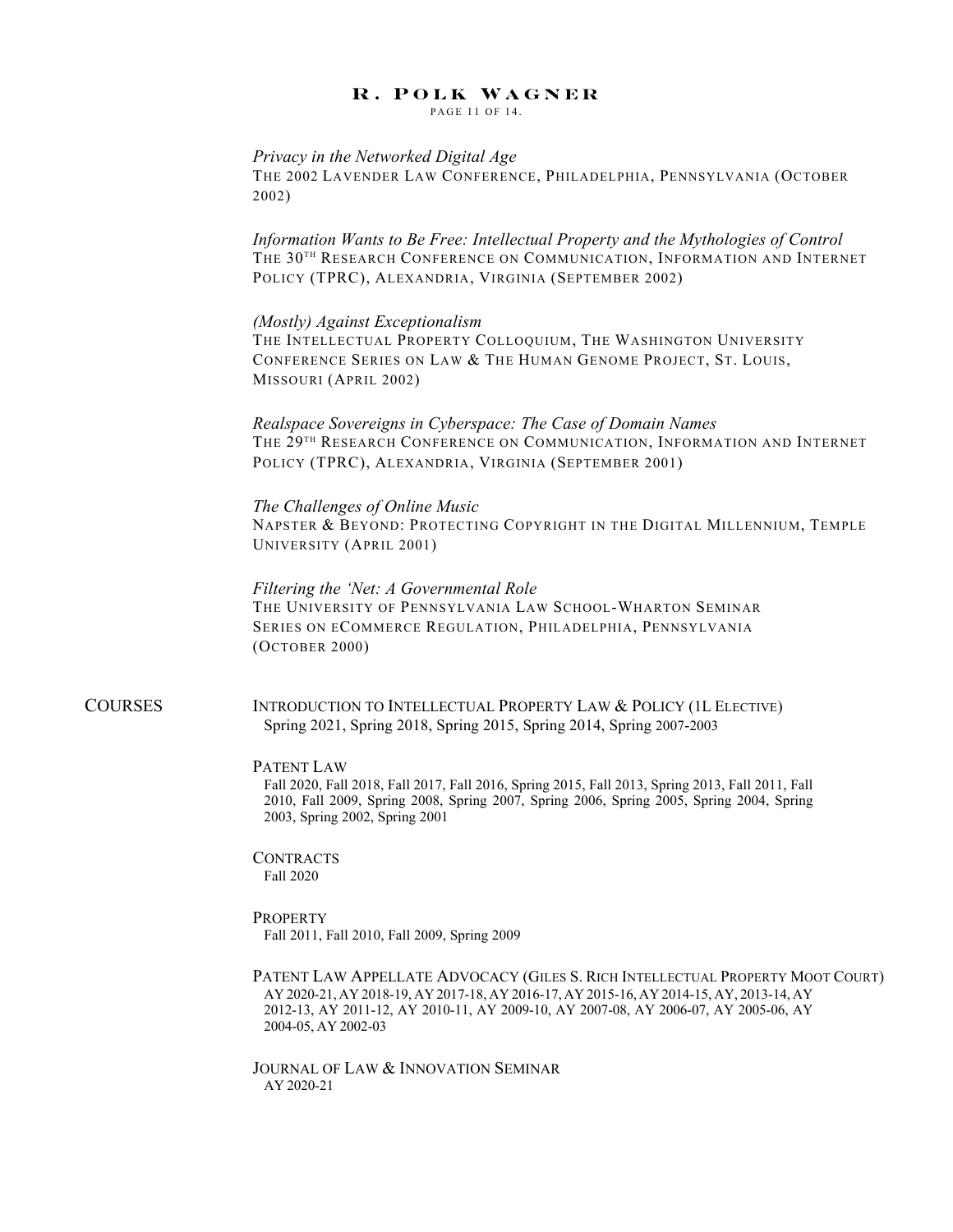PAGE 11 OF 14.

#### *Privacy in the Networked Digital Age*

THE 2002 LAVENDER LAW CONFERENCE, PHILADELPHIA, PENNSYLVANIA (OCTOBER 2002)

*Information Wants to Be Free: Intellectual Property and the Mythologies of Control* THE 30TH RESEARCH CONFERENCE ON COMMUNICATION, INFORMATION AND INTERNET POLICY (TPRC), ALEXANDRIA, VIRGINIA (SEPTEMBER 2002)

#### *(Mostly) Against Exceptionalism*

THE INTELLECTUAL PROPERTY COLLOQUIUM, THE WASHINGTON UNIVERSITY CONFERENCE SERIES ON LAW & THE HUMAN GENOME PROJECT, ST. LOUIS, MISSOURI (APRIL 2002)

*Realspace Sovereigns in Cyberspace: The Case of Domain Names* THE 29<sup>TH</sup> RESEARCH CONFERENCE ON COMMUNICATION, INFORMATION AND INTERNET POLICY (TPRC), ALEXANDRIA, VIRGINIA (SEPTEMBER 2001)

### *The Challenges of Online Music*

NAPSTER & BEYOND: PROTECTING COPYRIGHT IN THE DIGITAL MILLENNIUM, TEMPLE UNIVERSITY (APRIL 2001)

*Filtering the 'Net: A Governmental Role* THE UNIVERSITY OF PENNSYLVANIA LAW SCHOOL-WHARTON SEMINAR SERIES ON ECOMMERCE REGULATION, PHILADELPHIA, PENNSYLVANIA (OCTOBER 2000)

COURSES INTRODUCTION TO INTELLECTUAL PROPERTY LAW & POLICY (1L ELECTIVE) Spring 2021, Spring 2018, Spring 2015, Spring 2014, Spring 2007-2003

#### PATENT LAW

Fall 2020, Fall 2018, Fall 2017, Fall 2016, Spring 2015, Fall 2013, Spring 2013, Fall 2011, Fall 2010, Fall 2009, Spring 2008, Spring 2007, Spring 2006, Spring 2005, Spring 2004, Spring 2003, Spring 2002, Spring 2001

#### **CONTRACTS** Fall 2020

#### **PROPERTY** Fall 2011, Fall 2010, Fall 2009, Spring 2009

PATENT LAW APPELLATE ADVOCACY (GILES S. RICH INTELLECTUAL PROPERTY MOOT COURT) AY 2020-21, AY 2018-19, AY 2017-18, AY 2016-17, AY 2015-16, AY 2014-15, AY, 2013-14, AY 2012-13, AY 2011-12, AY 2010-11, AY 2009-10, AY 2007-08, AY 2006-07, AY 2005-06, AY 2004-05, AY 2002-03

JOURNAL OF LAW & INNOVATION SEMINAR AY 2020-21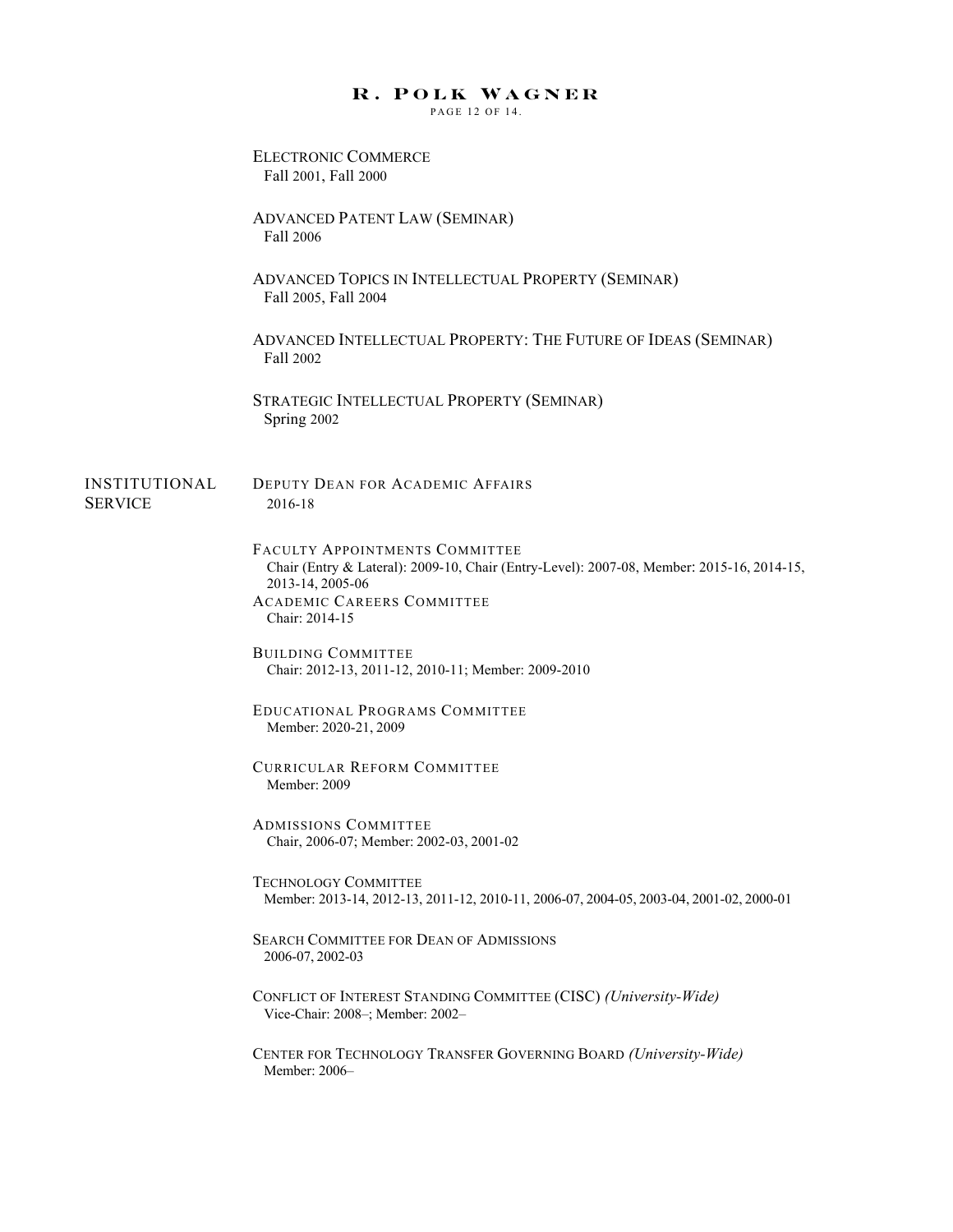PAGE 12 OF 14.

|                                 | <b>ELECTRONIC COMMERCE</b><br>Fall 2001, Fall 2000                                                                                                                                                     |
|---------------------------------|--------------------------------------------------------------------------------------------------------------------------------------------------------------------------------------------------------|
|                                 | <b>ADVANCED PATENT LAW (SEMINAR)</b><br>Fall 2006                                                                                                                                                      |
|                                 | ADVANCED TOPICS IN INTELLECTUAL PROPERTY (SEMINAR)<br>Fall 2005, Fall 2004                                                                                                                             |
|                                 | ADVANCED INTELLECTUAL PROPERTY: THE FUTURE OF IDEAS (SEMINAR)<br>Fall 2002                                                                                                                             |
|                                 | STRATEGIC INTELLECTUAL PROPERTY (SEMINAR)<br>Spring 2002                                                                                                                                               |
| INSTITUTIONAL<br><b>SERVICE</b> | <b>DEPUTY DEAN FOR ACADEMIC AFFAIRS</b><br>2016-18                                                                                                                                                     |
|                                 | FACULTY APPOINTMENTS COMMITTEE<br>Chair (Entry & Lateral): 2009-10, Chair (Entry-Level): 2007-08, Member: 2015-16, 2014-15,<br>2013-14, 2005-06<br><b>ACADEMIC CAREERS COMMITTEE</b><br>Chair: 2014-15 |
|                                 | <b>BUILDING COMMITTEE</b><br>Chair: 2012-13, 2011-12, 2010-11; Member: 2009-2010                                                                                                                       |
|                                 | EDUCATIONAL PROGRAMS COMMITTEE<br>Member: 2020-21, 2009                                                                                                                                                |
|                                 | <b>CURRICULAR REFORM COMMITTEE</b><br>Member: 2009                                                                                                                                                     |
|                                 | <b>ADMISSIONS COMMITTEE</b><br>Chair, 2006-07; Member: 2002-03, 2001-02                                                                                                                                |
|                                 | <b>TECHNOLOGY COMMITTEE</b><br>Member: 2013-14, 2012-13, 2011-12, 2010-11, 2006-07, 2004-05, 2003-04, 2001-02, 2000-01                                                                                 |
|                                 | <b>SEARCH COMMITTEE FOR DEAN OF ADMISSIONS</b><br>2006-07, 2002-03                                                                                                                                     |
|                                 | CONFLICT OF INTEREST STANDING COMMITTEE (CISC) (University-Wide)<br>Vice-Chair: 2008-; Member: 2002-                                                                                                   |
|                                 | CENTER FOR TECHNOLOGY TRANSFER GOVERNING BOARD (University-Wide)<br>Member: 2006-                                                                                                                      |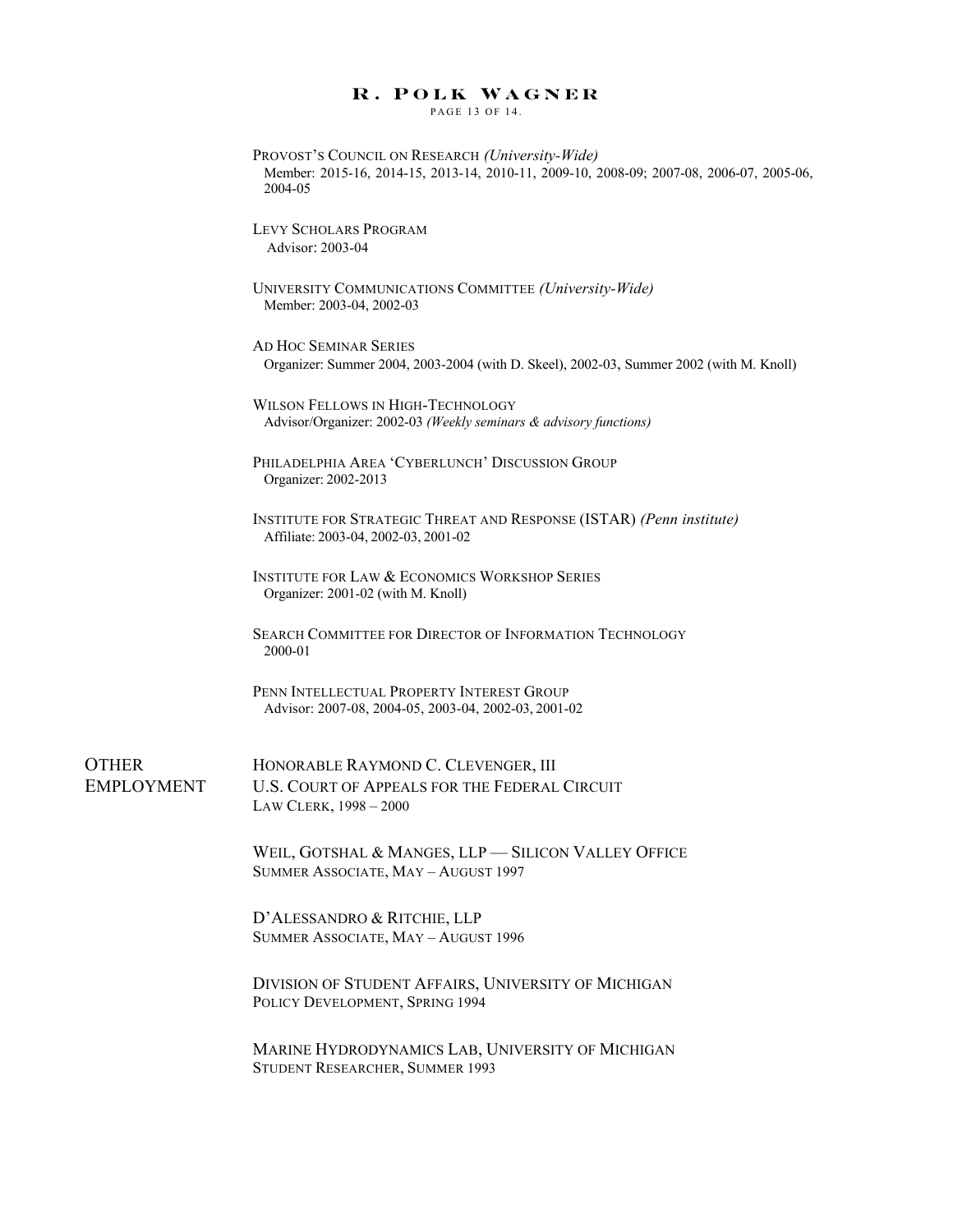PAGE 13 OF 14.

| 2004-05 | PROVOST'S COUNCIL ON RESEARCH (University-Wide)<br>Member: 2015-16, 2014-15, 2013-14, 2010-11, 2009-10, 2008-09; 2007-08, 2006-07, 2005-06, |
|---------|---------------------------------------------------------------------------------------------------------------------------------------------|
|         | LEVY SCHOLARS PROGRAM<br>Advisor: 2003-04                                                                                                   |
|         | UNIVERSITY COMMUNICATIONS COMMITTEE (University-Wide)<br>Member: 2003-04, 2002-03                                                           |
|         | AD HOC SEMINAR SERIES<br>Organizer: Summer 2004, 2003-2004 (with D. Skeel), 2002-03, Summer 2002 (with M. Knoll)                            |
|         | WILSON FELLOWS IN HIGH-TECHNOLOGY<br>Advisor/Organizer: 2002-03 (Weekly seminars & advisory functions)                                      |
|         | PHILADELPHIA AREA 'CYBERLUNCH' DISCUSSION GROUP<br>Organizer: 2002-2013                                                                     |
|         | INSTITUTE FOR STRATEGIC THREAT AND RESPONSE (ISTAR) (Penn institute)<br>Affiliate: 2003-04, 2002-03, 2001-02                                |
|         | <b>INSTITUTE FOR LAW &amp; ECONOMICS WORKSHOP SERIES</b><br>Organizer: 2001-02 (with M. Knoll)                                              |
| 2000-01 | <b>SEARCH COMMITTEE FOR DIRECTOR OF INFORMATION TECHNOLOGY</b>                                                                              |
|         | PENN INTELLECTUAL PROPERTY INTEREST GROUP<br>Advisor: 2007-08, 2004-05, 2003-04, 2002-03, 2001-02                                           |
|         | HONORABLE RAYMOND C. CLEVENGER, III                                                                                                         |
|         | U.S. COURT OF APPEALS FOR THE FEDERAL CIRCUIT<br>LAW CLERK, 1998 - 2000                                                                     |
|         | WEIL, GOTSHAL & MANGES, LLP - SILICON VALLEY OFFICE<br>SUMMER ASSOCIATE, MAY - AUGUST 1997                                                  |
|         | D'ALESSANDRO & RITCHIE, LLP<br>SUMMER ASSOCIATE, MAY - AUGUST 1996                                                                          |
|         | DIVISION OF STUDENT AFFAIRS, UNIVERSITY OF MICHIGAN<br>POLICY DEVELOPMENT, SPRING 1994                                                      |
|         | MARINE HYDRODYNAMICS LAB, UNIVERSITY OF MICHIGAN<br>STUDENT RESEARCHER, SUMMER 1993                                                         |

**OTHER** 

EMPLOYMENT